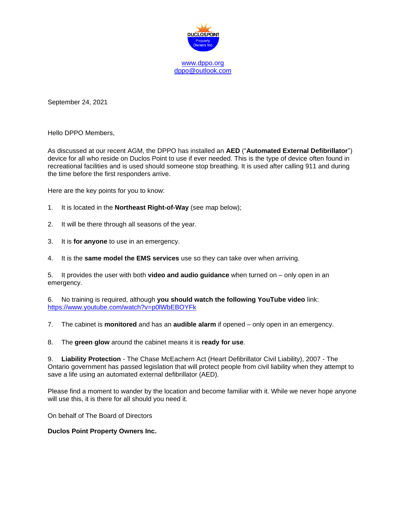

September 24, 2021

Hello DPPO Members,

As discussed at our recent AGM, the DPPO has installed an **AED** ("**Automated External Defibrillator**") device for all who reside on Duclos Point to use if ever needed. This is the type of device often found in recreational facilities and is used should someone stop breathing. It is used after calling 911 and during the time before the first responders arrive.

Here are the key points for you to know:

- 1. It is located in the **Northeast Right-of-Way** (see map below);
- 2. It will be there through all seasons of the year.
- 3. It is **for anyone** to use in an emergency.
- 4. It is the **same model the EMS services** use so they can take over when arriving.

5. It provides the user with both **video and audio guidance** when turned on – only open in an emergency.

6. No training is required, although **you should watch the following YouTube video** link: <https://www.youtube.com/watch?v=p0lWbEBOYFk>

7. The cabinet is **monitored** and has an **audible alarm** if opened – only open in an emergency.

8. The **green glow** around the cabinet means it is **ready for use**.

9. **Liability Protection** - The Chase McEachern Act (Heart Defibrillator Civil Liability), 2007 - The Ontario government has passed legislation that will protect people from civil liability when they attempt to save a life using an automated external defibrillator (AED).

Please find a moment to wander by the location and become familiar with it. While we never hope anyone will use this, it is there for all should you need it.

On behalf of The Board of Directors

## **Duclos Point Property Owners Inc.**